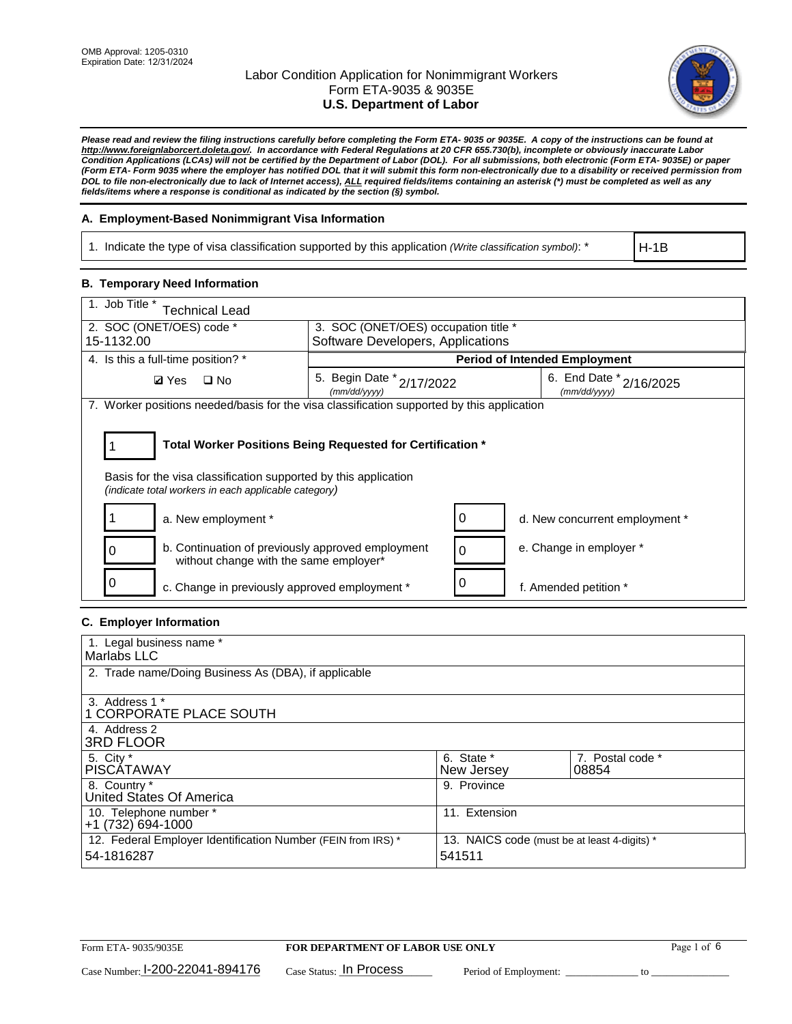

*Please read and review the filing instructions carefully before completing the Form ETA- 9035 or 9035E. A copy of the instructions can be found at http://www.foreignlaborcert.doleta.gov/. In accordance with Federal Regulations at 20 CFR 655.730(b), incomplete or obviously inaccurate Labor Condition Applications (LCAs) will not be certified by the Department of Labor (DOL). For all submissions, both electronic (Form ETA- 9035E) or paper (Form ETA- Form 9035 where the employer has notified DOL that it will submit this form non-electronically due to a disability or received permission from DOL to file non-electronically due to lack of Internet access), ALL required fields/items containing an asterisk (\*) must be completed as well as any fields/items where a response is conditional as indicated by the section (§) symbol.* 

## **A. Employment-Based Nonimmigrant Visa Information**

1. Indicate the type of visa classification supported by this application *(Write classification symbol)*: \*

H-1B

### **B. Temporary Need Information**

| 1. Job Title *<br><b>Technical Lead</b>                                                                                                                                               |                                           |                                         |  |  |  |  |
|---------------------------------------------------------------------------------------------------------------------------------------------------------------------------------------|-------------------------------------------|-----------------------------------------|--|--|--|--|
| 2. SOC (ONET/OES) code *<br>3. SOC (ONET/OES) occupation title *                                                                                                                      |                                           |                                         |  |  |  |  |
| 15-1132.00                                                                                                                                                                            | Software Developers, Applications         |                                         |  |  |  |  |
| 4. Is this a full-time position? *                                                                                                                                                    |                                           | <b>Period of Intended Employment</b>    |  |  |  |  |
| $\square$ No<br><b>Ø</b> Yes                                                                                                                                                          | 5. Begin Date * 2/17/2022<br>(mm/dd/yyyy) | 6. End Date * 2/16/2025<br>(mm/dd/yyyy) |  |  |  |  |
| 7. Worker positions needed/basis for the visa classification supported by this application                                                                                            |                                           |                                         |  |  |  |  |
| Total Worker Positions Being Requested for Certification *<br>Basis for the visa classification supported by this application<br>(indicate total workers in each applicable category) |                                           |                                         |  |  |  |  |
| a. New employment *                                                                                                                                                                   |                                           | 0<br>d. New concurrent employment *     |  |  |  |  |
| b. Continuation of previously approved employment<br>0<br>without change with the same employer*                                                                                      |                                           | e. Change in employer *<br>$\mathbf 0$  |  |  |  |  |
| c. Change in previously approved employment *                                                                                                                                         |                                           | 0<br>f. Amended petition *              |  |  |  |  |

## **C. Employer Information**

| 1. Legal business name *                                     |                                              |                  |
|--------------------------------------------------------------|----------------------------------------------|------------------|
| Marlabs LLC                                                  |                                              |                  |
|                                                              |                                              |                  |
| 2. Trade name/Doing Business As (DBA), if applicable         |                                              |                  |
|                                                              |                                              |                  |
| 3. Address 1 *                                               |                                              |                  |
| 1 CORPORATE PLACE SOUTH                                      |                                              |                  |
| 4. Address 2                                                 |                                              |                  |
| <b>3RD FLOOR</b>                                             |                                              |                  |
| 5. City *                                                    | 6. State *                                   | 7. Postal code * |
| PISCÁTAWAY                                                   | New Jersey                                   | 08854            |
| 8. Country *                                                 | 9. Province                                  |                  |
| United States Of America                                     |                                              |                  |
| 10. Telephone number *                                       | 11. Extension                                |                  |
| +1 (732) 694-1000                                            |                                              |                  |
| 12. Federal Employer Identification Number (FEIN from IRS) * | 13. NAICS code (must be at least 4-digits) * |                  |
| 54-1816287                                                   | 541511                                       |                  |
|                                                              |                                              |                  |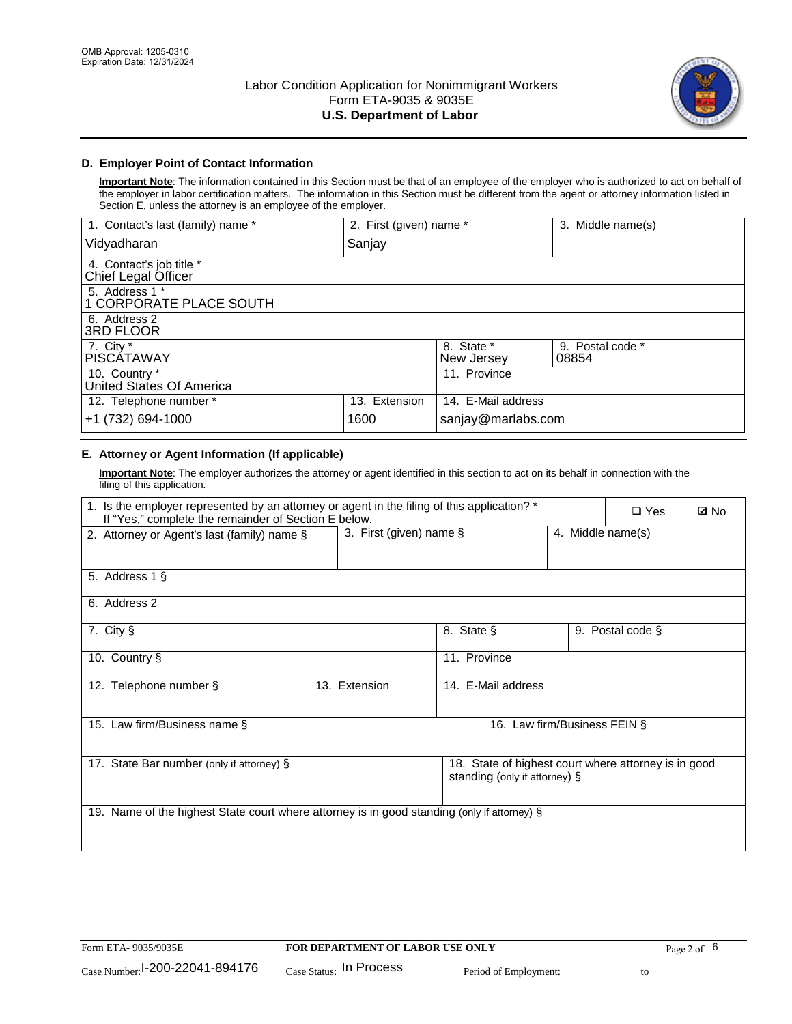

## **D. Employer Point of Contact Information**

**Important Note**: The information contained in this Section must be that of an employee of the employer who is authorized to act on behalf of the employer in labor certification matters. The information in this Section must be different from the agent or attorney information listed in Section E, unless the attorney is an employee of the employer.

| 1. Contact's last (family) name *               | 2. First (given) name * |                          | 3. Middle name(s)         |
|-------------------------------------------------|-------------------------|--------------------------|---------------------------|
| Vidyadharan                                     | Sanjay                  |                          |                           |
| 4. Contact's job title *<br>Chief Legal Officer |                         |                          |                           |
| 5. Address 1 *<br>1 CORPORATE PLACE SOUTH       |                         |                          |                           |
| 6. Address 2<br><b>3RD FLOOR</b>                |                         |                          |                           |
| 7. City *<br><b>PISCÁTAWAY</b>                  |                         | 8. State *<br>New Jersey | 9. Postal code *<br>08854 |
| 10. Country *<br>United States Of America       |                         | 11. Province             |                           |
| 12. Telephone number *                          | 13. Extension           | 14. E-Mail address       |                           |
| +1 (732) 694-1000                               | 1600                    | sanjay@marlabs.com       |                           |

## **E. Attorney or Agent Information (If applicable)**

**Important Note**: The employer authorizes the attorney or agent identified in this section to act on its behalf in connection with the filing of this application.

| 1. Is the employer represented by an attorney or agent in the filing of this application? *<br>If "Yes," complete the remainder of Section E below. |                            |                    |                               | $\Box$ Yes        | <b>Ø</b> No                                          |  |
|-----------------------------------------------------------------------------------------------------------------------------------------------------|----------------------------|--------------------|-------------------------------|-------------------|------------------------------------------------------|--|
| 2. Attorney or Agent's last (family) name §                                                                                                         | 3. First (given) name $\S$ |                    |                               | 4. Middle name(s) |                                                      |  |
| 5. Address 1 §                                                                                                                                      |                            |                    |                               |                   |                                                      |  |
| 6. Address 2                                                                                                                                        |                            |                    |                               |                   |                                                      |  |
| 7. City §                                                                                                                                           |                            | 8. State §         |                               |                   | 9. Postal code §                                     |  |
| 10. Country §                                                                                                                                       |                            | 11. Province       |                               |                   |                                                      |  |
| 12. Telephone number §                                                                                                                              | 13. Extension              | 14. E-Mail address |                               |                   |                                                      |  |
| 15. Law firm/Business name §                                                                                                                        |                            |                    | 16. Law firm/Business FEIN §  |                   |                                                      |  |
| 17. State Bar number (only if attorney) §                                                                                                           |                            |                    | standing (only if attorney) § |                   | 18. State of highest court where attorney is in good |  |
| 19. Name of the highest State court where attorney is in good standing (only if attorney) §                                                         |                            |                    |                               |                   |                                                      |  |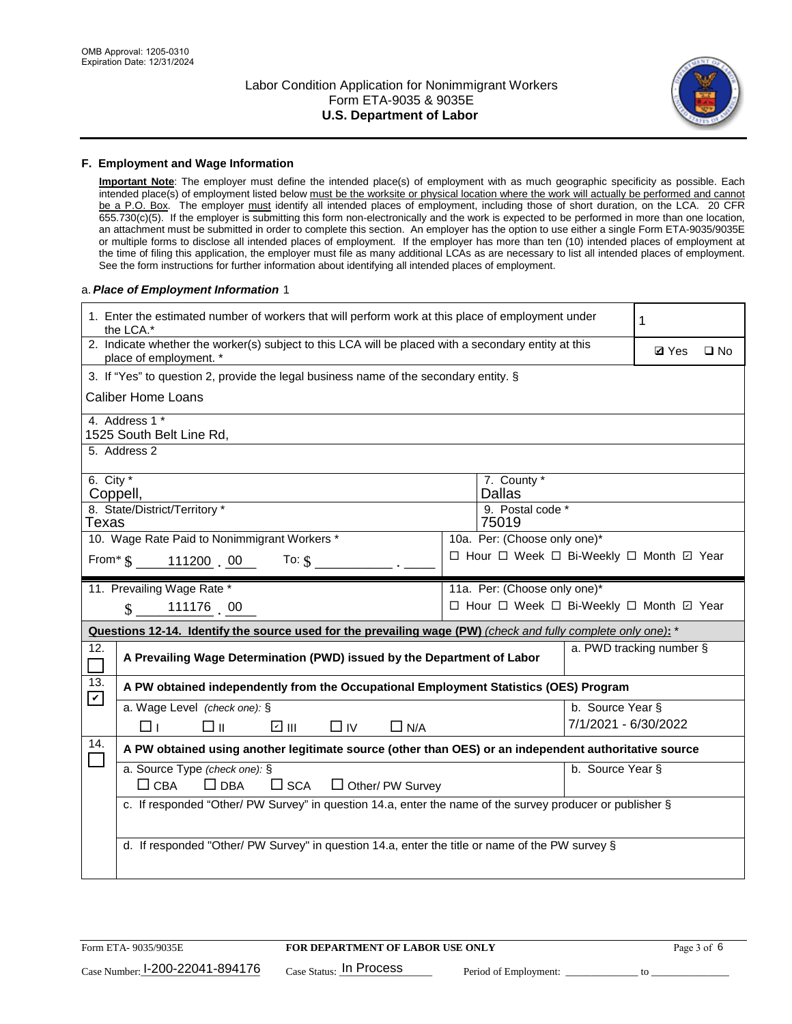

#### **F. Employment and Wage Information**

**Important Note**: The employer must define the intended place(s) of employment with as much geographic specificity as possible. Each intended place(s) of employment listed below must be the worksite or physical location where the work will actually be performed and cannot be a P.O. Box. The employer must identify all intended places of employment, including those of short duration, on the LCA. 20 CFR 655.730(c)(5). If the employer is submitting this form non-electronically and the work is expected to be performed in more than one location, an attachment must be submitted in order to complete this section. An employer has the option to use either a single Form ETA-9035/9035E or multiple forms to disclose all intended places of employment. If the employer has more than ten (10) intended places of employment at the time of filing this application, the employer must file as many additional LCAs as are necessary to list all intended places of employment. See the form instructions for further information about identifying all intended places of employment.

#### a.*Place of Employment Information* 1

| 1. Enter the estimated number of workers that will perform work at this place of employment under<br>the LCA.* |                                                                                                                                |  |                                          |                          | 1 |  |
|----------------------------------------------------------------------------------------------------------------|--------------------------------------------------------------------------------------------------------------------------------|--|------------------------------------------|--------------------------|---|--|
|                                                                                                                | 2. Indicate whether the worker(s) subject to this LCA will be placed with a secondary entity at this<br>place of employment. * |  |                                          |                          |   |  |
| 3. If "Yes" to question 2, provide the legal business name of the secondary entity. §                          |                                                                                                                                |  |                                          |                          |   |  |
|                                                                                                                | <b>Caliber Home Loans</b>                                                                                                      |  |                                          |                          |   |  |
|                                                                                                                | 4. Address 1 *<br>1525 South Belt Line Rd,                                                                                     |  |                                          |                          |   |  |
|                                                                                                                | 5. Address 2                                                                                                                   |  |                                          |                          |   |  |
| 6. City $*$<br>Coppell,                                                                                        |                                                                                                                                |  | 7. County *<br><b>Dallas</b>             |                          |   |  |
| Texas                                                                                                          | 8. State/District/Territory *                                                                                                  |  | 9. Postal code *<br>75019                |                          |   |  |
|                                                                                                                | 10. Wage Rate Paid to Nonimmigrant Workers *                                                                                   |  | 10a. Per: (Choose only one)*             |                          |   |  |
|                                                                                                                | From $\text{\$}$ 111200 00<br>To: $$$                                                                                          |  | □ Hour □ Week □ Bi-Weekly □ Month ☑ Year |                          |   |  |
|                                                                                                                | 11. Prevailing Wage Rate *                                                                                                     |  | 11a. Per: (Choose only one)*             |                          |   |  |
|                                                                                                                | 111176 00<br>$\mathcal{S}$                                                                                                     |  | □ Hour □ Week □ Bi-Weekly □ Month ☑ Year |                          |   |  |
|                                                                                                                | Questions 12-14. Identify the source used for the prevailing wage (PW) (check and fully complete only one): *                  |  |                                          |                          |   |  |
| 12.<br>$\Box$                                                                                                  | A Prevailing Wage Determination (PWD) issued by the Department of Labor                                                        |  |                                          | a. PWD tracking number § |   |  |
| 13.<br>$\blacktriangledown$                                                                                    | A PW obtained independently from the Occupational Employment Statistics (OES) Program                                          |  |                                          |                          |   |  |
|                                                                                                                | a. Wage Level (check one): §                                                                                                   |  |                                          | b. Source Year §         |   |  |
|                                                                                                                | ☑ Ⅲ<br>□⊪<br>$\Box$ IV<br>$\Box$ N/A<br>⊓⊥                                                                                     |  |                                          | 7/1/2021 - 6/30/2022     |   |  |
| 14.                                                                                                            | A PW obtained using another legitimate source (other than OES) or an independent authoritative source                          |  |                                          |                          |   |  |
|                                                                                                                | a. Source Type (check one): §<br>b. Source Year §<br>$\Box$ CBA<br>$\Box$ DBA<br>$\square$ SCA<br>$\Box$ Other/ PW Survey      |  |                                          |                          |   |  |
|                                                                                                                | c. If responded "Other/ PW Survey" in question 14.a, enter the name of the survey producer or publisher §                      |  |                                          |                          |   |  |
|                                                                                                                | d. If responded "Other/ PW Survey" in question 14.a, enter the title or name of the PW survey §                                |  |                                          |                          |   |  |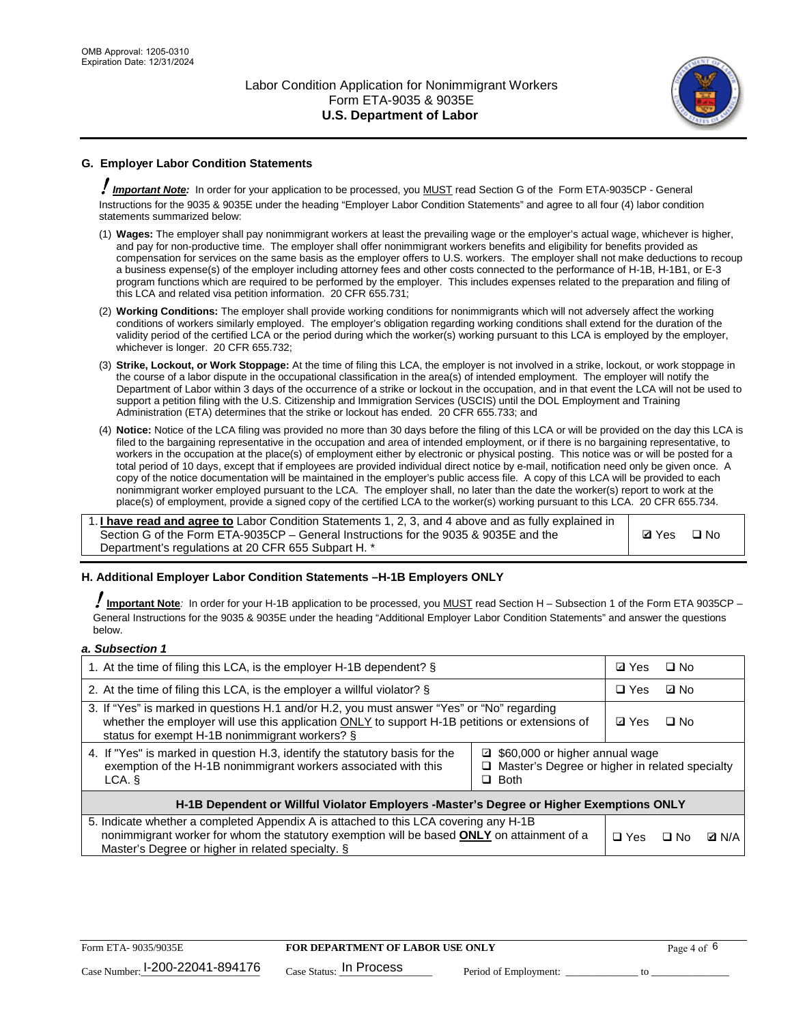

## **G. Employer Labor Condition Statements**

! *Important Note:* In order for your application to be processed, you MUST read Section G of the Form ETA-9035CP - General Instructions for the 9035 & 9035E under the heading "Employer Labor Condition Statements" and agree to all four (4) labor condition statements summarized below:

- (1) **Wages:** The employer shall pay nonimmigrant workers at least the prevailing wage or the employer's actual wage, whichever is higher, and pay for non-productive time. The employer shall offer nonimmigrant workers benefits and eligibility for benefits provided as compensation for services on the same basis as the employer offers to U.S. workers. The employer shall not make deductions to recoup a business expense(s) of the employer including attorney fees and other costs connected to the performance of H-1B, H-1B1, or E-3 program functions which are required to be performed by the employer. This includes expenses related to the preparation and filing of this LCA and related visa petition information. 20 CFR 655.731;
- (2) **Working Conditions:** The employer shall provide working conditions for nonimmigrants which will not adversely affect the working conditions of workers similarly employed. The employer's obligation regarding working conditions shall extend for the duration of the validity period of the certified LCA or the period during which the worker(s) working pursuant to this LCA is employed by the employer, whichever is longer. 20 CFR 655.732;
- (3) **Strike, Lockout, or Work Stoppage:** At the time of filing this LCA, the employer is not involved in a strike, lockout, or work stoppage in the course of a labor dispute in the occupational classification in the area(s) of intended employment. The employer will notify the Department of Labor within 3 days of the occurrence of a strike or lockout in the occupation, and in that event the LCA will not be used to support a petition filing with the U.S. Citizenship and Immigration Services (USCIS) until the DOL Employment and Training Administration (ETA) determines that the strike or lockout has ended. 20 CFR 655.733; and
- (4) **Notice:** Notice of the LCA filing was provided no more than 30 days before the filing of this LCA or will be provided on the day this LCA is filed to the bargaining representative in the occupation and area of intended employment, or if there is no bargaining representative, to workers in the occupation at the place(s) of employment either by electronic or physical posting. This notice was or will be posted for a total period of 10 days, except that if employees are provided individual direct notice by e-mail, notification need only be given once. A copy of the notice documentation will be maintained in the employer's public access file. A copy of this LCA will be provided to each nonimmigrant worker employed pursuant to the LCA. The employer shall, no later than the date the worker(s) report to work at the place(s) of employment, provide a signed copy of the certified LCA to the worker(s) working pursuant to this LCA. 20 CFR 655.734.

1. **I have read and agree to** Labor Condition Statements 1, 2, 3, and 4 above and as fully explained in Section G of the Form ETA-9035CP – General Instructions for the 9035 & 9035E and the Department's regulations at 20 CFR 655 Subpart H. \*

**Ø**Yes ロNo

### **H. Additional Employer Labor Condition Statements –H-1B Employers ONLY**

!**Important Note***:* In order for your H-1B application to be processed, you MUST read Section H – Subsection 1 of the Form ETA 9035CP – General Instructions for the 9035 & 9035E under the heading "Additional Employer Labor Condition Statements" and answer the questions below.

#### *a. Subsection 1*

| 1. At the time of filing this LCA, is the employer H-1B dependent? §                                                                                                                                                                                            |  |  | $\square$ No |              |
|-----------------------------------------------------------------------------------------------------------------------------------------------------------------------------------------------------------------------------------------------------------------|--|--|--------------|--------------|
| 2. At the time of filing this LCA, is the employer a willful violator? $\S$                                                                                                                                                                                     |  |  | ⊡ No         |              |
| 3. If "Yes" is marked in questions H.1 and/or H.2, you must answer "Yes" or "No" regarding<br>whether the employer will use this application ONLY to support H-1B petitions or extensions of<br>status for exempt H-1B nonimmigrant workers? §                  |  |  | $\Box$ No    |              |
| 4. If "Yes" is marked in question H.3, identify the statutory basis for the<br>■ \$60,000 or higher annual wage<br>exemption of the H-1B nonimmigrant workers associated with this<br>□ Master's Degree or higher in related specialty<br>$\Box$ Both<br>LCA. § |  |  |              |              |
| H-1B Dependent or Willful Violator Employers -Master's Degree or Higher Exemptions ONLY                                                                                                                                                                         |  |  |              |              |
| 5. Indicate whether a completed Appendix A is attached to this LCA covering any H-1B<br>nonimmigrant worker for whom the statutory exemption will be based <b>ONLY</b> on attainment of a<br>Master's Degree or higher in related specialty. §                  |  |  | ⊡ No         | <b>Q</b> N/A |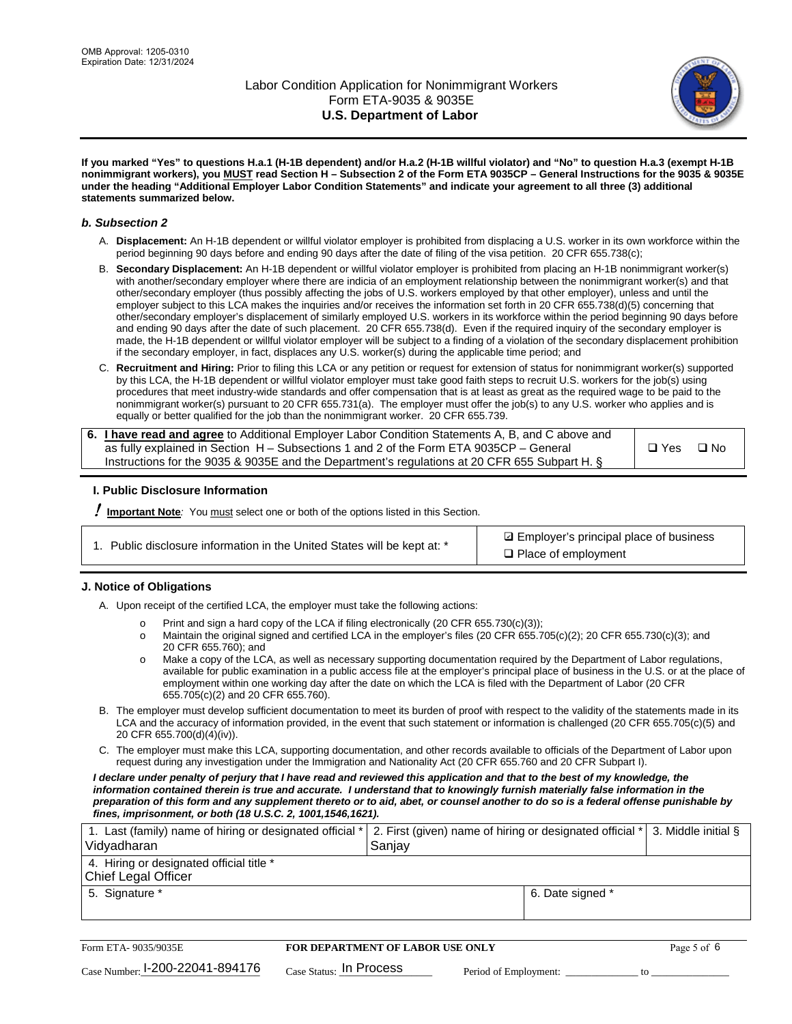

**If you marked "Yes" to questions H.a.1 (H-1B dependent) and/or H.a.2 (H-1B willful violator) and "No" to question H.a.3 (exempt H-1B nonimmigrant workers), you MUST read Section H – Subsection 2 of the Form ETA 9035CP – General Instructions for the 9035 & 9035E under the heading "Additional Employer Labor Condition Statements" and indicate your agreement to all three (3) additional statements summarized below.**

#### *b. Subsection 2*

- A. **Displacement:** An H-1B dependent or willful violator employer is prohibited from displacing a U.S. worker in its own workforce within the period beginning 90 days before and ending 90 days after the date of filing of the visa petition. 20 CFR 655.738(c);
- B. **Secondary Displacement:** An H-1B dependent or willful violator employer is prohibited from placing an H-1B nonimmigrant worker(s) with another/secondary employer where there are indicia of an employment relationship between the nonimmigrant worker(s) and that other/secondary employer (thus possibly affecting the jobs of U.S. workers employed by that other employer), unless and until the employer subject to this LCA makes the inquiries and/or receives the information set forth in 20 CFR 655.738(d)(5) concerning that other/secondary employer's displacement of similarly employed U.S. workers in its workforce within the period beginning 90 days before and ending 90 days after the date of such placement. 20 CFR 655.738(d). Even if the required inquiry of the secondary employer is made, the H-1B dependent or willful violator employer will be subject to a finding of a violation of the secondary displacement prohibition if the secondary employer, in fact, displaces any U.S. worker(s) during the applicable time period; and
- C. **Recruitment and Hiring:** Prior to filing this LCA or any petition or request for extension of status for nonimmigrant worker(s) supported by this LCA, the H-1B dependent or willful violator employer must take good faith steps to recruit U.S. workers for the job(s) using procedures that meet industry-wide standards and offer compensation that is at least as great as the required wage to be paid to the nonimmigrant worker(s) pursuant to 20 CFR 655.731(a). The employer must offer the job(s) to any U.S. worker who applies and is equally or better qualified for the job than the nonimmigrant worker. 20 CFR 655.739.

| 6. I have read and agree to Additional Employer Labor Condition Statements A, B, and C above and |       |           |
|--------------------------------------------------------------------------------------------------|-------|-----------|
| as fully explained in Section H – Subsections 1 and 2 of the Form ETA 9035CP – General           | □ Yes | $\Box$ No |
| Instructions for the 9035 & 9035E and the Department's regulations at 20 CFR 655 Subpart H. §    |       |           |

### **I. Public Disclosure Information**

! **Important Note***:* You must select one or both of the options listed in this Section.

**sqrt** Employer's principal place of business □ Place of employment

### **J. Notice of Obligations**

A. Upon receipt of the certified LCA, the employer must take the following actions:

- o Print and sign a hard copy of the LCA if filing electronically (20 CFR 655.730(c)(3));<br>
Maintain the original signed and certified LCA in the employer's files (20 CFR 655.7
- Maintain the original signed and certified LCA in the employer's files (20 CFR 655.705(c)(2); 20 CFR 655.730(c)(3); and 20 CFR 655.760); and
- o Make a copy of the LCA, as well as necessary supporting documentation required by the Department of Labor regulations, available for public examination in a public access file at the employer's principal place of business in the U.S. or at the place of employment within one working day after the date on which the LCA is filed with the Department of Labor (20 CFR 655.705(c)(2) and 20 CFR 655.760).
- B. The employer must develop sufficient documentation to meet its burden of proof with respect to the validity of the statements made in its LCA and the accuracy of information provided, in the event that such statement or information is challenged (20 CFR 655.705(c)(5) and 20 CFR 655.700(d)(4)(iv)).
- C. The employer must make this LCA, supporting documentation, and other records available to officials of the Department of Labor upon request during any investigation under the Immigration and Nationality Act (20 CFR 655.760 and 20 CFR Subpart I).

*I declare under penalty of perjury that I have read and reviewed this application and that to the best of my knowledge, the*  information contained therein is true and accurate. I understand that to knowingly furnish materially false information in the *preparation of this form and any supplement thereto or to aid, abet, or counsel another to do so is a federal offense punishable by fines, imprisonment, or both (18 U.S.C. 2, 1001,1546,1621).*

| 1. Last (family) name of hiring or designated official *   2. First (given) name of hiring or designated official *   3. Middle initial §<br>Vidyadharan | Saniav           |  |
|----------------------------------------------------------------------------------------------------------------------------------------------------------|------------------|--|
| 4. Hiring or designated official title *<br>Chief Legal Officer                                                                                          |                  |  |
| 5. Signature *                                                                                                                                           | 6. Date signed * |  |

| Form ETA-9035/9035E                         | <b>FOR DEPARTMENT OF LABOR USE ONLY</b> |                       |  |
|---------------------------------------------|-----------------------------------------|-----------------------|--|
| $_{\text{Case Number:}}$ I-200-22041-894176 | $_{\text{Case Status:}}$ In Process     | Period of Employment: |  |